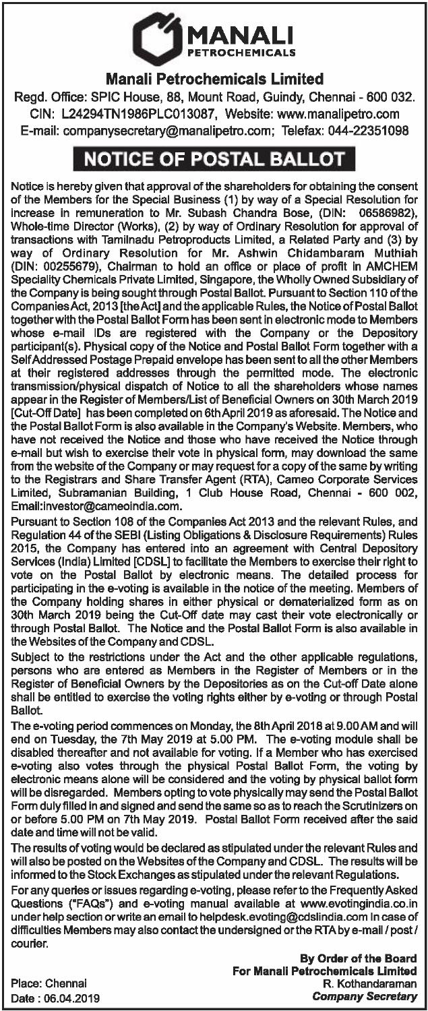

## Manali Petrochemicals Limited

Regd. Office: SPIC House, 88, Mount Road, Guindy, Chennai - 600 032. CIN: L24294TN1986PLC013087, Website: www.manalipetro.com E-mail: companysecretary@manalipetro.com; Telefax: 044-22351098

## **NOTICE OF POSTAL BALLOT**

Notice is hereby given that approval of the shareholders for obtaining the consent of the Members for the Special Business (1) by way of a Special Resolution for increase in remuneration to Mr. Subash Chandra Bose, (DIN: Whole-time Director (Works), (2) by way of Ordinary Resolution for approval of transactions with Tamilnadu Petroproducts Limited, a Related Party and (3) by way of Ordinary Resolution for Mr. Ashwin Chidambaram Muthiah (DIN: 00255679), Chairman to hold an office or place of profit in AMCHEM Speciality Chemicals Private Limited, Singapore, the Wholly Owned Subsidiary of the Company is being sought through Postal Ballot. Pursuant to Section 110 of the Companies Act, 2013 [the Act] and the applicable Rules, the Notice of Postal Ballot together with the Postal Ballot Form has been sent in electronic mode to Members whose e-mail IDs are registered with the Company or the Depository participant(s). Physical copy of the Notice and Postal Ballot Form together with a Self Addressed Postage Prepaid envelope has been sent to all the other Members at their registered addresses through the permitted mode. The electronic transmission/physical dispatch of Notice to all the shareholders whose names appear in the Register of Members/List of Beneficial Owners on 30th March 2019 [Cut-Off Date] has been completed on 6th April 2019 as aforesaid. The Notice and the Postal Ballot Form is also available in the Company's Website. Members, who have not received the Notice and those who have received the Notice through e-mail but wish to exercise their vote in physical form, may download the same from the website of the Company or may request for a copy of the same by writing to the Registrars and Share Transfer Agent (RTA), Cameo Corporate Services Limited, Subramanian Building, 1 Club House Road, Chennai - 600 002, Email:investor@cameoindia.com.

Pursuant to Section 108 of the Companies Act 2013 and the relevant Rules, and Regulation 44 of the SEBI (Listing Obligations & Disclosure Requirements) Rules 2015, the Company has entered into an agreement with Central Depository Services (India) Limited [CDSL] to facilitate the Members to exercise their right to vote on the Postal Ballot by electronic means. The detailed process for participating in the e-voting is available in the notice of the meeting. Members of the Company holding shares in either physical or dematerialized form as on 30th March 2019 being the Cut-Off date may cast their vote electronically or through Postal Ballot. The Notice and the Postal Ballot Form is also available in the Websites of the Company and CDSL.

Subject to the restrictions under the Act and the other applicable regulations, persons who are entered as Members in the Register of Members or in the Register of Beneficial Owners by the Depositories as on the Cut-off Date alone shall be entitled to exercise the voting rights either by a-voting or through Postal Ballot.

The e-voting period commences on Monday, the 8th April 2018 at 9.00 AM and will end on Tuesday, the 7th May 2019 at 5.00 PM. The e-voting module shall be disabled thereafter and not available for voting. If a Member who has exercised e-voting also votes through the physical Postal Ballot Form, the voting by electronic means alone will be considered and the voting by physical ballot form will be disregarded. Members opting to vote physically may send the Postal Ballot Form duly filled in and signed and send the same so as to reach the Scrutinizers on or before 5.00 PM on 7th May 2019. Postal Ballot Form received after the said date and time will not be valid.

The results of voting would be declared as stipulated under the relevant Rules and will also be posted on the Websites of the Company and CDSL. The results will be informed to the Stock Exchanges as stipulated under the relevant Regulations.

For any queries or issues regarding e-voting, please refer to the Frequently Asked Questions ("FAQs") and e-voting manual available at www.evotingindia.co.in under help section or write an email to helpdesk.evoting@cdslindia.com In case of difficulties Members may also contact the undersigned or the RTAby e-mail *I* post/ courier.

> By Order of the Board For Manali Petrochemicals Limited R. Kothandaraman *Company Secretary*

Place: Chennai Date: 06.04.2019